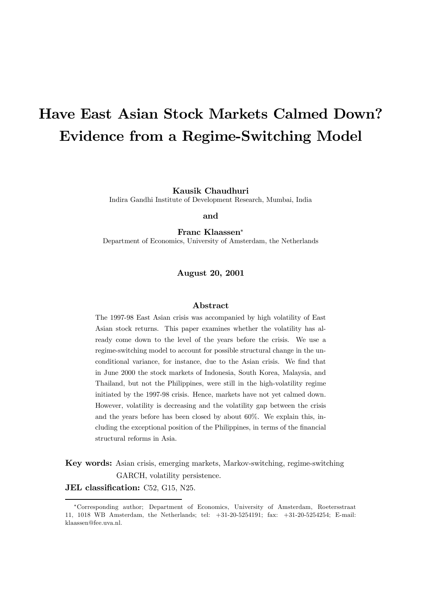# Have East Asian Stock Markets Calmed Down? Evidence from a Regime-Switching Model

Kausik Chaudhuri

Indira Gandhi Institute of Development Research, Mumbai, India

and

Franc Klaassen<sup>∗</sup>

Department of Economics, University of Amsterdam, the Netherlands

August 20, 2001

## Abstract

The 1997-98 East Asian crisis was accompanied by high volatility of East Asian stock returns. This paper examines whether the volatility has already come down to the level of the years before the crisis. We use a regime-switching model to account for possible structural change in the unconditional variance, for instance, due to the Asian crisis. We find that in June 2000 the stock markets of Indonesia, South Korea, Malaysia, and Thailand, but not the Philippines, were still in the high-volatility regime initiated by the 1997-98 crisis. Hence, markets have not yet calmed down. However, volatility is decreasing and the volatility gap between the crisis and the years before has been closed by about 60%. We explain this, including the exceptional position of the Philippines, in terms of the financial structural reforms in Asia.

Key words: Asian crisis, emerging markets, Markov-switching, regime-switching GARCH, volatility persistence.

JEL classification: C52, G15, N25.

<sup>∗</sup>Corresponding author; Department of Economics, University of Amsterdam, Roetersstraat 11, 1018 WB Amsterdam, the Netherlands; tel: +31-20-5254191; fax: +31-20-5254254; E-mail: klaassen@fee.uva.nl.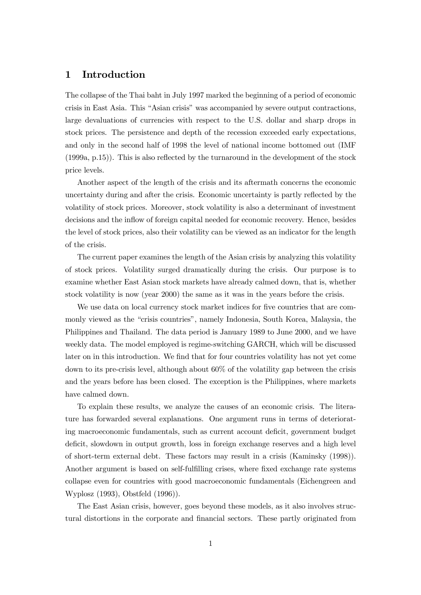# 1 Introduction

The collapse of the Thai baht in July 1997 marked the beginning of a period of economic crisis in East Asia. This "Asian crisis" was accompanied by severe output contractions, large devaluations of currencies with respect to the U.S. dollar and sharp drops in stock prices. The persistence and depth of the recession exceeded early expectations, and only in the second half of 1998 the level of national income bottomed out (IMF (1999a, p.15)). This is also reflected by the turnaround in the development of the stock price levels.

Another aspect of the length of the crisis and its aftermath concerns the economic uncertainty during and after the crisis. Economic uncertainty is partly reflected by the volatility of stock prices. Moreover, stock volatility is also a determinant of investment decisions and the inflow of foreign capital needed for economic recovery. Hence, besides the level of stock prices, also their volatility can be viewed as an indicator for the length of the crisis.

The current paper examines the length of the Asian crisis by analyzing this volatility of stock prices. Volatility surged dramatically during the crisis. Our purpose is to examine whether East Asian stock markets have already calmed down, that is, whether stock volatility is now (year 2000) the same as it was in the years before the crisis.

We use data on local currency stock market indices for five countries that are commonly viewed as the "crisis countries", namely Indonesia, South Korea, Malaysia, the Philippines and Thailand. The data period is January 1989 to June 2000, and we have weekly data. The model employed is regime-switching GARCH, which will be discussed later on in this introduction. We find that for four countries volatility has not yet come down to its pre-crisis level, although about 60% of the volatility gap between the crisis and the years before has been closed. The exception is the Philippines, where markets have calmed down.

To explain these results, we analyze the causes of an economic crisis. The literature has forwarded several explanations. One argument runs in terms of deteriorating macroeconomic fundamentals, such as current account deficit, government budget deficit, slowdown in output growth, loss in foreign exchange reserves and a high level of short-term external debt. These factors may result in a crisis (Kaminsky (1998)). Another argument is based on self-fulfilling crises, where fixed exchange rate systems collapse even for countries with good macroeconomic fundamentals (Eichengreen and Wyplosz (1993), Obstfeld (1996)).

The East Asian crisis, however, goes beyond these models, as it also involves structural distortions in the corporate and financial sectors. These partly originated from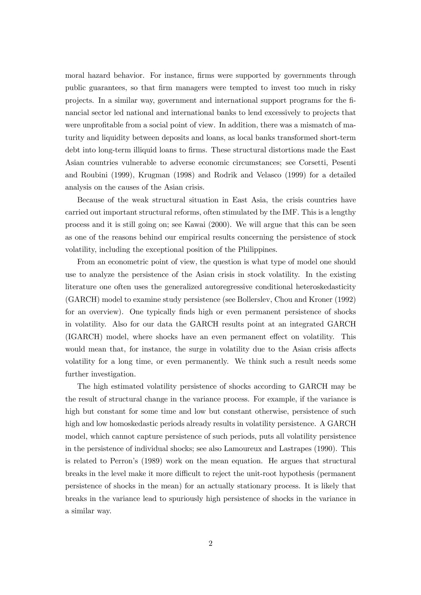moral hazard behavior. For instance, firms were supported by governments through public guarantees, so that firm managers were tempted to invest too much in risky projects. In a similar way, government and international support programs for the financial sector led national and international banks to lend excessively to projects that were unprofitable from a social point of view. In addition, there was a mismatch of maturity and liquidity between deposits and loans, as local banks transformed short-term debt into long-term illiquid loans to firms. These structural distortions made the East Asian countries vulnerable to adverse economic circumstances; see Corsetti, Pesenti and Roubini (1999), Krugman (1998) and Rodrik and Velasco (1999) for a detailed analysis on the causes of the Asian crisis.

Because of the weak structural situation in East Asia, the crisis countries have carried out important structural reforms, often stimulated by the IMF. This is a lengthy process and it is still going on; see Kawai (2000). We will argue that this can be seen as one of the reasons behind our empirical results concerning the persistence of stock volatility, including the exceptional position of the Philippines.

From an econometric point of view, the question is what type of model one should use to analyze the persistence of the Asian crisis in stock volatility. In the existing literature one often uses the generalized autoregressive conditional heteroskedasticity (GARCH) model to examine study persistence (see Bollerslev, Chou and Kroner (1992) for an overview). One typically finds high or even permanent persistence of shocks in volatility. Also for our data the GARCH results point at an integrated GARCH (IGARCH) model, where shocks have an even permanent effect on volatility. This would mean that, for instance, the surge in volatility due to the Asian crisis affects volatility for a long time, or even permanently. We think such a result needs some further investigation.

The high estimated volatility persistence of shocks according to GARCH may be the result of structural change in the variance process. For example, if the variance is high but constant for some time and low but constant otherwise, persistence of such high and low homoskedastic periods already results in volatility persistence. A GARCH model, which cannot capture persistence of such periods, puts all volatility persistence in the persistence of individual shocks; see also Lamoureux and Lastrapes (1990). This is related to Perron's (1989) work on the mean equation. He argues that structural breaks in the level make it more difficult to reject the unit-root hypothesis (permanent persistence of shocks in the mean) for an actually stationary process. It is likely that breaks in the variance lead to spuriously high persistence of shocks in the variance in a similar way.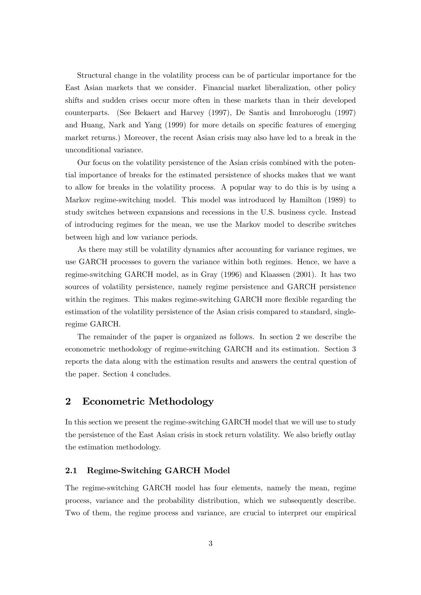Structural change in the volatility process can be of particular importance for the East Asian markets that we consider. Financial market liberalization, other policy shifts and sudden crises occur more often in these markets than in their developed counterparts. (See Bekaert and Harvey (1997), De Santis and Imrohoroglu (1997) and Huang, Nark and Yang (1999) for more details on specific features of emerging market returns.) Moreover, the recent Asian crisis may also have led to a break in the unconditional variance.

Our focus on the volatility persistence of the Asian crisis combined with the potential importance of breaks for the estimated persistence of shocks makes that we want to allow for breaks in the volatility process. A popular way to do this is by using a Markov regime-switching model. This model was introduced by Hamilton (1989) to study switches between expansions and recessions in the U.S. business cycle. Instead of introducing regimes for the mean, we use the Markov model to describe switches between high and low variance periods.

As there may still be volatility dynamics after accounting for variance regimes, we use GARCH processes to govern the variance within both regimes. Hence, we have a regime-switching GARCH model, as in Gray (1996) and Klaassen (2001). It has two sources of volatility persistence, namely regime persistence and GARCH persistence within the regimes. This makes regime-switching GARCH more flexible regarding the estimation of the volatility persistence of the Asian crisis compared to standard, singleregime GARCH.

The remainder of the paper is organized as follows. In section 2 we describe the econometric methodology of regime-switching GARCH and its estimation. Section 3 reports the data along with the estimation results and answers the central question of the paper. Section 4 concludes.

# 2 Econometric Methodology

In this section we present the regime-switching GARCH model that we will use to study the persistence of the East Asian crisis in stock return volatility. We also briefly outlay the estimation methodology.

## 2.1 Regime-Switching GARCH Model

The regime-switching GARCH model has four elements, namely the mean, regime process, variance and the probability distribution, which we subsequently describe. Two of them, the regime process and variance, are crucial to interpret our empirical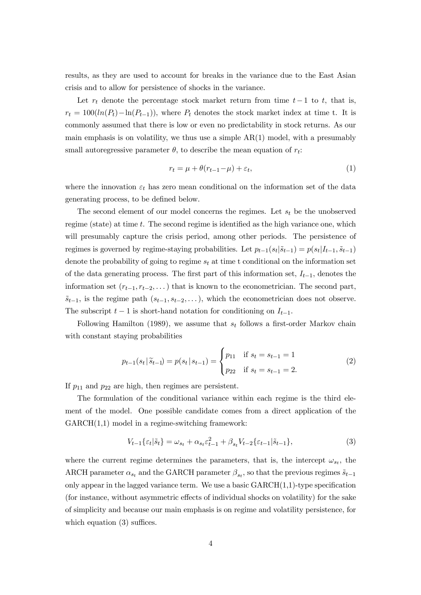results, as they are used to account for breaks in the variance due to the East Asian crisis and to allow for persistence of shocks in the variance.

Let  $r_t$  denote the percentage stock market return from time  $t-1$  to  $t$ , that is,  $r_t = 100(ln(P_t) - ln(P_{t-1}))$ , where  $P_t$  denotes the stock market index at time t. It is commonly assumed that there is low or even no predictability in stock returns. As our main emphasis is on volatility, we thus use a simple  $AR(1)$  model, with a presumably small autoregressive parameter  $\theta$ , to describe the mean equation of  $r_t$ :

$$
r_t = \mu + \theta(r_{t-1} - \mu) + \varepsilon_t,\tag{1}
$$

where the innovation  $\varepsilon_t$  has zero mean conditional on the information set of the data generating process, to be defined below.

The second element of our model concerns the regimes. Let  $s_t$  be the unobserved regime (state) at time  $t$ . The second regime is identified as the high variance one, which will presumably capture the crisis period, among other periods. The persistence of regimes is governed by regime-staying probabilities. Let  $p_{t-1}(s_t|\tilde{s}_{t-1}) = p(s_t|I_{t-1}, \tilde{s}_{t-1})$ denote the probability of going to regime  $s_t$  at time t conditional on the information set of the data generating process. The first part of this information set,  $I_{t-1}$ , denotes the information set  $(r_{t-1}, r_{t-2}, \dots)$  that is known to the econometrician. The second part,  $\tilde{s}_{t-1}$ , is the regime path  $(s_{t-1}, s_{t-2}, \ldots)$ , which the econometrician does not observe. The subscript  $t - 1$  is short-hand notation for conditioning on  $I_{t-1}$ .

Following Hamilton (1989), we assume that  $s_t$  follows a first-order Markov chain with constant staying probabilities

$$
p_{t-1}(s_t | \tilde{s}_{t-1}) = p(s_t | s_{t-1}) = \begin{cases} p_{11} & \text{if } s_t = s_{t-1} = 1 \\ p_{22} & \text{if } s_t = s_{t-1} = 2. \end{cases}
$$
 (2)

If  $p_{11}$  and  $p_{22}$  are high, then regimes are persistent.

The formulation of the conditional variance within each regime is the third element of the model. One possible candidate comes from a direct application of the GARCH(1,1) model in a regime-switching framework:

$$
V_{t-1}\{\varepsilon_t|\tilde{s}_t\} = \omega_{s_t} + \alpha_{s_t}\varepsilon_{t-1}^2 + \beta_{s_t}V_{t-2}\{\varepsilon_{t-1}|\tilde{s}_{t-1}\},\tag{3}
$$

where the current regime determines the parameters, that is, the intercept  $\omega_{s_t}$ , the ARCH parameter  $\alpha_{s_t}$  and the GARCH parameter  $\beta_{s_t}$ , so that the previous regimes  $\tilde{s}_{t-1}$ only appear in the lagged variance term. We use a basic  $GARCH(1,1)$ -type specification (for instance, without asymmetric effects of individual shocks on volatility) for the sake of simplicity and because our main emphasis is on regime and volatility persistence, for which equation (3) suffices.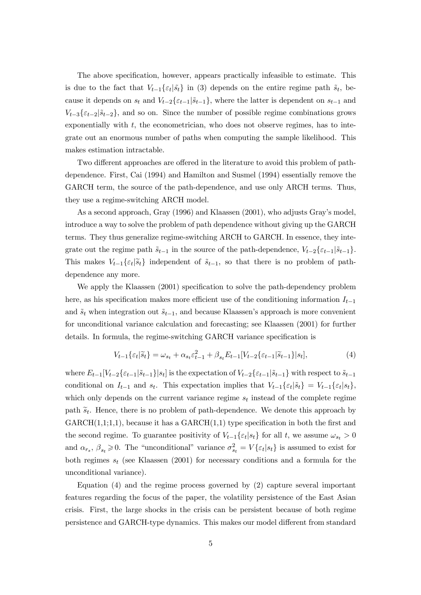The above specification, however, appears practically infeasible to estimate. This is due to the fact that  $V_{t-1}\{\varepsilon_t|\tilde{s}_t\}$  in (3) depends on the entire regime path  $\tilde{s}_t$ , because it depends on  $s_t$  and  $V_{t-2}\{\varepsilon_{t-1}|\tilde{s}_{t-1}\}$ , where the latter is dependent on  $s_{t-1}$  and  $V_{t-3}\{\varepsilon_{t-2}|\tilde{s}_{t-2}\}\,$ , and so on. Since the number of possible regime combinations grows exponentially with  $t$ , the econometrician, who does not observe regimes, has to integrate out an enormous number of paths when computing the sample likelihood. This makes estimation intractable.

Two different approaches are offered in the literature to avoid this problem of pathdependence. First, Cai (1994) and Hamilton and Susmel (1994) essentially remove the GARCH term, the source of the path-dependence, and use only ARCH terms. Thus, they use a regime-switching ARCH model.

As a second approach, Gray (1996) and Klaassen (2001), who adjusts Gray's model, introduce a way to solve the problem of path dependence without giving up the GARCH terms. They thus generalize regime-switching ARCH to GARCH. In essence, they integrate out the regime path  $\tilde{s}_{t-1}$  in the source of the path-dependence,  $V_{t-2}\{\varepsilon_{t-1}|\tilde{s}_{t-1}\}.$ This makes  $V_{t-1}\{\varepsilon_t|\tilde{s}_t\}$  independent of  $\tilde{s}_{t-1}$ , so that there is no problem of pathdependence any more.

We apply the Klaassen (2001) specification to solve the path-dependency problem here, as his specification makes more efficient use of the conditioning information  $I_{t-1}$ and  $\tilde{s}_t$  when integration out  $\tilde{s}_{t-1}$ , and because Klaassen's approach is more convenient for unconditional variance calculation and forecasting; see Klaassen (2001) for further details. In formula, the regime-switching GARCH variance specification is

$$
V_{t-1}\{\varepsilon_t|\tilde{s}_t\} = \omega_{s_t} + \alpha_{s_t}\varepsilon_{t-1}^2 + \beta_{s_t}E_{t-1}[V_{t-2}\{\varepsilon_{t-1}|\tilde{s}_{t-1}\}|s_t],\tag{4}
$$

where  $E_{t-1}[V_{t-2}\{\varepsilon_{t-1}|\tilde{s}_{t-1}\}]$  is the expectation of  $V_{t-2}\{\varepsilon_{t-1}|\tilde{s}_{t-1}\}$  with respect to  $\tilde{s}_{t-1}$ conditional on  $I_{t-1}$  and  $s_t$ . This expectation implies that  $V_{t-1}\{\varepsilon_t|\tilde{s}_t\} = V_{t-1}\{\varepsilon_t|s_t\}$ , which only depends on the current variance regime  $s_t$  instead of the complete regime path  $\tilde{s}_t$ . Hence, there is no problem of path-dependence. We denote this approach by  $GARCH(1,1;1,1),$  because it has a  $GARCH(1,1)$  type specification in both the first and the second regime. To guarantee positivity of  $V_{t-1}\{\varepsilon_t|s_t\}$  for all t, we assume  $\omega_{s_t} > 0$ and  $\alpha_{rs}$ ,  $\beta_{s_t} \geq 0$ . The "unconditional" variance  $\sigma_{s_t}^2 = V\{\varepsilon_t | s_t\}$  is assumed to exist for both regimes  $s_t$  (see Klaassen (2001) for necessary conditions and a formula for the unconditional variance).

Equation (4) and the regime process governed by (2) capture several important features regarding the focus of the paper, the volatility persistence of the East Asian crisis. First, the large shocks in the crisis can be persistent because of both regime persistence and GARCH-type dynamics. This makes our model different from standard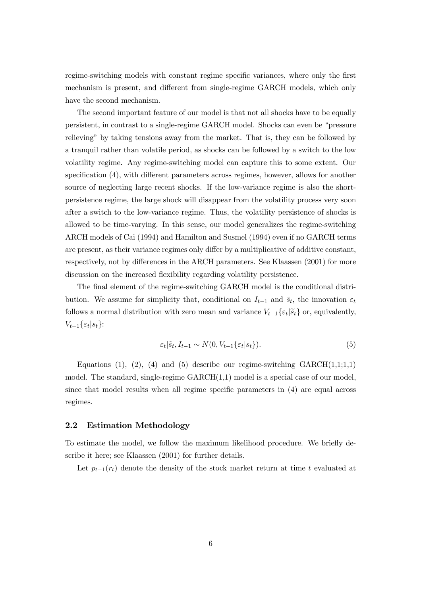regime-switching models with constant regime specific variances, where only the first mechanism is present, and different from single-regime GARCH models, which only have the second mechanism.

The second important feature of our model is that not all shocks have to be equally persistent, in contrast to a single-regime GARCH model. Shocks can even be "pressure relieving" by taking tensions away from the market. That is, they can be followed by a tranquil rather than volatile period, as shocks can be followed by a switch to the low volatility regime. Any regime-switching model can capture this to some extent. Our specification (4), with different parameters across regimes, however, allows for another source of neglecting large recent shocks. If the low-variance regime is also the shortpersistence regime, the large shock will disappear from the volatility process very soon after a switch to the low-variance regime. Thus, the volatility persistence of shocks is allowed to be time-varying. In this sense, our model generalizes the regime-switching ARCH models of Cai (1994) and Hamilton and Susmel (1994) even if no GARCH terms are present, as their variance regimes only differ by a multiplicative of additive constant, respectively, not by differences in the ARCH parameters. See Klaassen (2001) for more discussion on the increased flexibility regarding volatility persistence.

The final element of the regime-switching GARCH model is the conditional distribution. We assume for simplicity that, conditional on  $I_{t-1}$  and  $\tilde{s}_t$ , the innovation  $\varepsilon_t$ follows a normal distribution with zero mean and variance  $V_{t-1}\{\varepsilon_t|\tilde{s}_t\}$  or, equivalently,  $V_{t-1}\{\varepsilon_t|s_t\}$ :

$$
\varepsilon_t|\tilde{s}_t, I_{t-1} \sim N(0, V_{t-1}\{\varepsilon_t|s_t\}).\tag{5}
$$

Equations (1), (2), (4) and (5) describe our regime-switching  $GARCH(1,1;1,1)$ model. The standard, single-regime  $GARCH(1,1)$  model is a special case of our model, since that model results when all regime specific parameters in (4) are equal across regimes.

## 2.2 Estimation Methodology

To estimate the model, we follow the maximum likelihood procedure. We briefly describe it here; see Klaassen (2001) for further details.

Let  $p_{t-1}(r_t)$  denote the density of the stock market return at time t evaluated at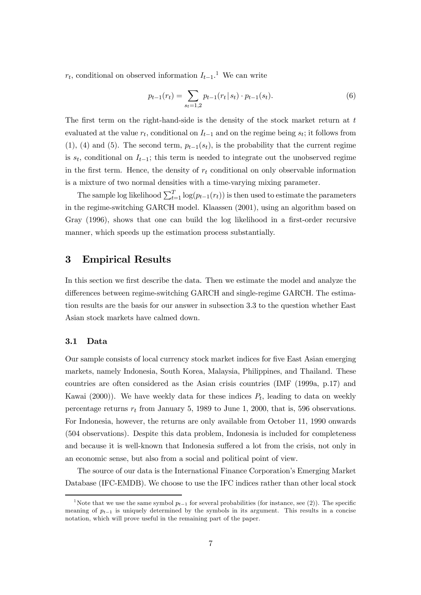$r_t$ , conditional on observed information  $I_{t-1}$ <sup>1</sup>. We can write

$$
p_{t-1}(r_t) = \sum_{s_t=1,2} p_{t-1}(r_t | s_t) \cdot p_{t-1}(s_t). \tag{6}
$$

The first term on the right-hand-side is the density of the stock market return at  $t$ evaluated at the value  $r_t$ , conditional on  $I_{t-1}$  and on the regime being  $s_t$ ; it follows from (1), (4) and (5). The second term,  $p_{t-1}(s_t)$ , is the probability that the current regime is  $s_t$ , conditional on  $I_{t-1}$ ; this term is needed to integrate out the unobserved regime in the first term. Hence, the density of  $r_t$  conditional on only observable information is a mixture of two normal densities with a time-varying mixing parameter.

The sample log likelihood  $\sum_{t=1}^{T} \log(p_{t-1}(r_t))$  is then used to estimate the parameters in the regime-switching GARCH model. Klaassen (2001), using an algorithm based on Gray (1996), shows that one can build the log likelihood in a first-order recursive manner, which speeds up the estimation process substantially.

## 3 Empirical Results

In this section we first describe the data. Then we estimate the model and analyze the differences between regime-switching GARCH and single-regime GARCH. The estimation results are the basis for our answer in subsection 3.3 to the question whether East Asian stock markets have calmed down.

## 3.1 Data

Our sample consists of local currency stock market indices for five East Asian emerging markets, namely Indonesia, South Korea, Malaysia, Philippines, and Thailand. These countries are often considered as the Asian crisis countries (IMF (1999a, p.17) and Kawai (2000)). We have weekly data for these indices  $P_t$ , leading to data on weekly percentage returns  $r_t$  from January 5, 1989 to June 1, 2000, that is, 596 observations. For Indonesia, however, the returns are only available from October 11, 1990 onwards (504 observations). Despite this data problem, Indonesia is included for completeness and because it is well-known that Indonesia suffered a lot from the crisis, not only in an economic sense, but also from a social and political point of view.

The source of our data is the International Finance Corporation's Emerging Market Database (IFC-EMDB). We choose to use the IFC indices rather than other local stock

<sup>&</sup>lt;sup>1</sup>Note that we use the same symbol  $p_{t-1}$  for several probabilities (for instance, see (2)). The specific meaning of  $p_{t-1}$  is uniquely determined by the symbols in its argument. This results in a concise notation, which will prove useful in the remaining part of the paper.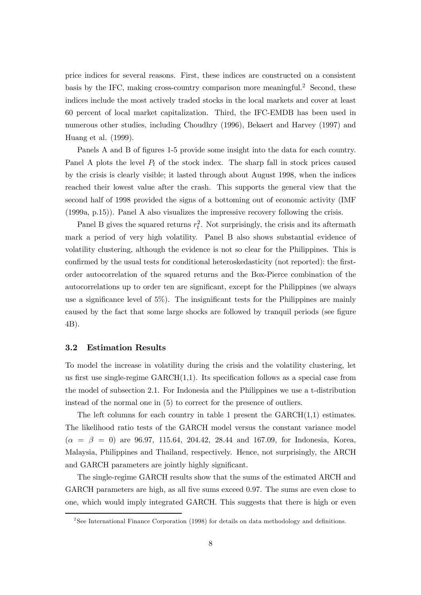price indices for several reasons. First, these indices are constructed on a consistent basis by the IFC, making cross-country comparison more meaningful.<sup>2</sup> Second, these indices include the most actively traded stocks in the local markets and cover at least 60 percent of local market capitalization. Third, the IFC-EMDB has been used in numerous other studies, including Choudhry (1996), Bekaert and Harvey (1997) and Huang et al. (1999).

Panels A and B of figures 1-5 provide some insight into the data for each country. Panel A plots the level  $P_t$  of the stock index. The sharp fall in stock prices caused by the crisis is clearly visible; it lasted through about August 1998, when the indices reached their lowest value after the crash. This supports the general view that the second half of 1998 provided the signs of a bottoming out of economic activity (IMF (1999a, p.15)). Panel A also visualizes the impressive recovery following the crisis.

Panel B gives the squared returns  $r_t^2$ . Not surprisingly, the crisis and its aftermath mark a period of very high volatility. Panel B also shows substantial evidence of volatility clustering, although the evidence is not so clear for the Philippines. This is confirmed by the usual tests for conditional heteroskedasticity (not reported): the firstorder autocorrelation of the squared returns and the Box-Pierce combination of the autocorrelations up to order ten are significant, except for the Philippines (we always use a significance level of 5%). The insignificant tests for the Philippines are mainly caused by the fact that some large shocks are followed by tranquil periods (see figure 4B).

## 3.2 Estimation Results

To model the increase in volatility during the crisis and the volatility clustering, let us first use single-regime  $GARCH(1,1)$ . Its specification follows as a special case from the model of subsection 2.1. For Indonesia and the Philippines we use a t-distribution instead of the normal one in (5) to correct for the presence of outliers.

The left columns for each country in table 1 present the  $GARCH(1,1)$  estimates. The likelihood ratio tests of the GARCH model versus the constant variance model  $(\alpha = \beta = 0)$  are 96.97, 115.64, 204.42, 28.44 and 167.09, for Indonesia, Korea, Malaysia, Philippines and Thailand, respectively. Hence, not surprisingly, the ARCH and GARCH parameters are jointly highly significant.

The single-regime GARCH results show that the sums of the estimated ARCH and GARCH parameters are high, as all five sums exceed 0.97. The sums are even close to one, which would imply integrated GARCH. This suggests that there is high or even

<sup>&</sup>lt;sup>2</sup>See International Finance Corporation (1998) for details on data methodology and definitions.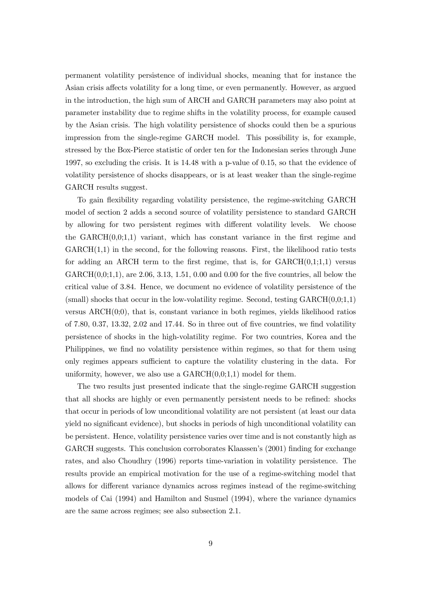permanent volatility persistence of individual shocks, meaning that for instance the Asian crisis affects volatility for a long time, or even permanently. However, as argued in the introduction, the high sum of ARCH and GARCH parameters may also point at parameter instability due to regime shifts in the volatility process, for example caused by the Asian crisis. The high volatility persistence of shocks could then be a spurious impression from the single-regime GARCH model. This possibility is, for example, stressed by the Box-Pierce statistic of order ten for the Indonesian series through June 1997, so excluding the crisis. It is 14.48 with a p-value of 0.15, so that the evidence of volatility persistence of shocks disappears, or is at least weaker than the single-regime GARCH results suggest.

To gain flexibility regarding volatility persistence, the regime-switching GARCH model of section 2 adds a second source of volatility persistence to standard GARCH by allowing for two persistent regimes with different volatility levels. We choose the  $GARCH(0,0;1,1)$  variant, which has constant variance in the first regime and  $GARCH(1,1)$  in the second, for the following reasons. First, the likelihood ratio tests for adding an ARCH term to the first regime, that is, for  $GARCH(0,1;1,1)$  versus  $GARCH(0,0;1,1),$  are 2.06, 3.13, 1.51, 0.00 and 0.00 for the five countries, all below the critical value of 3.84. Hence, we document no evidence of volatility persistence of the (small) shocks that occur in the low-volatility regime. Second, testing  $GARCH(0,0;1,1)$ versus ARCH(0;0), that is, constant variance in both regimes, yields likelihood ratios of 7.80, 0.37, 13.32, 2.02 and 17.44. So in three out of five countries, we find volatility persistence of shocks in the high-volatility regime. For two countries, Korea and the Philippines, we find no volatility persistence within regimes, so that for them using only regimes appears sufficient to capture the volatility clustering in the data. For uniformity, however, we also use a  $GARCH(0,0;1,1)$  model for them.

The two results just presented indicate that the single-regime GARCH suggestion that all shocks are highly or even permanently persistent needs to be refined: shocks that occur in periods of low unconditional volatility are not persistent (at least our data yield no significant evidence), but shocks in periods of high unconditional volatility can be persistent. Hence, volatility persistence varies over time and is not constantly high as GARCH suggests. This conclusion corroborates Klaassen's (2001) finding for exchange rates, and also Choudhry (1996) reports time-variation in volatility persistence. The results provide an empirical motivation for the use of a regime-switching model that allows for different variance dynamics across regimes instead of the regime-switching models of Cai (1994) and Hamilton and Susmel (1994), where the variance dynamics are the same across regimes; see also subsection 2.1.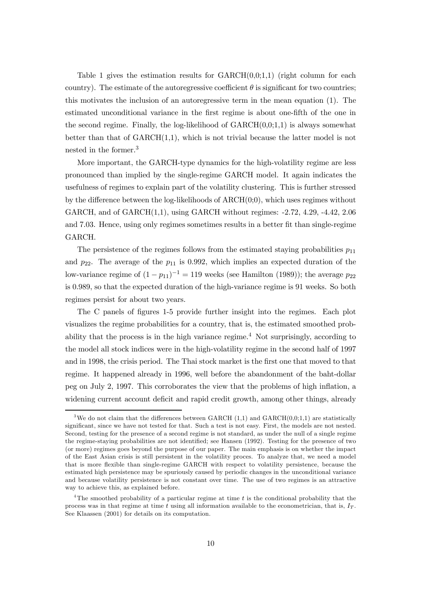Table 1 gives the estimation results for  $GARCH(0,0;1,1)$  (right column for each country). The estimate of the autoregressive coefficient  $\theta$  is significant for two countries; this motivates the inclusion of an autoregressive term in the mean equation (1). The estimated unconditional variance in the first regime is about one-fifth of the one in the second regime. Finally, the log-likelihood of  $GARCH(0,0;1,1)$  is always somewhat better than that of  $GARCH(1,1)$ , which is not trivial because the latter model is not nested in the former.3

More important, the GARCH-type dynamics for the high-volatility regime are less pronounced than implied by the single-regime GARCH model. It again indicates the usefulness of regimes to explain part of the volatility clustering. This is further stressed by the difference between the log-likelihoods of  $ARCH(0,0)$ , which uses regimes without GARCH, and of GARCH(1,1), using GARCH without regimes: -2.72, 4.29, -4.42, 2.06 and 7.03. Hence, using only regimes sometimes results in a better fit than single-regime GARCH.

The persistence of the regimes follows from the estimated staying probabilities  $p_{11}$ and  $p_{22}$ . The average of the  $p_{11}$  is 0.992, which implies an expected duration of the low-variance regime of  $(1 - p_{11})^{-1} = 119$  weeks (see Hamilton (1989)); the average  $p_{22}$ is 0.989, so that the expected duration of the high-variance regime is 91 weeks. So both regimes persist for about two years.

The C panels of figures 1-5 provide further insight into the regimes. Each plot visualizes the regime probabilities for a country, that is, the estimated smoothed probability that the process is in the high variance regime.<sup>4</sup> Not surprisingly, according to the model all stock indices were in the high-volatility regime in the second half of 1997 and in 1998, the crisis period. The Thai stock market is the first one that moved to that regime. It happened already in 1996, well before the abandonment of the baht-dollar peg on July 2, 1997. This corroborates the view that the problems of high inflation, a widening current account deficit and rapid credit growth, among other things, already

<sup>&</sup>lt;sup>3</sup>We do not claim that the differences between GARCH  $(1,1)$  and GARCH $(0,0;1,1)$  are statistically significant, since we have not tested for that. Such a test is not easy. First, the models are not nested. Second, testing for the presence of a second regime is not standard, as under the null of a single regime the regime-staying probabilities are not identified; see Hansen (1992). Testing for the presence of two (or more) regimes goes beyond the purpose of our paper. The main emphasis is on whether the impact of the East Asian crisis is still persistent in the volatility proces. To analyze that, we need a model that is more flexible than single-regime GARCH with respect to volatility persistence, because the estimated high persistence may be spuriously caused by periodic changes in the unconditional variance and because volatility persistence is not constant over time. The use of two regimes is an attractive way to achieve this, as explained before.

<sup>&</sup>lt;sup>4</sup>The smoothed probability of a particular regime at time  $t$  is the conditional probability that the process was in that regime at time t using all information available to the econometrician, that is,  $I_T$ . See Klaassen (2001) for details on its computation.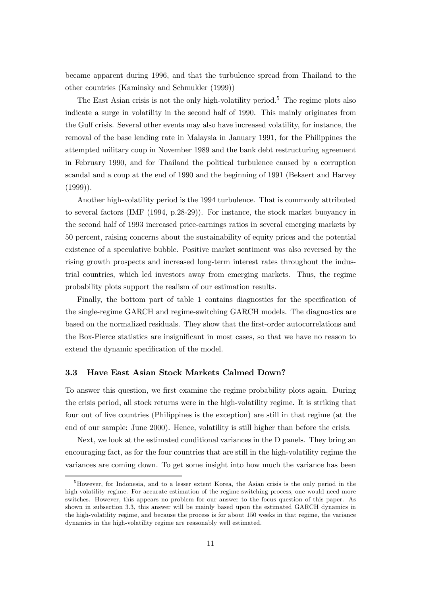became apparent during 1996, and that the turbulence spread from Thailand to the other countries (Kaminsky and Schmukler (1999))

The East Asian crisis is not the only high-volatility period.<sup>5</sup> The regime plots also indicate a surge in volatility in the second half of 1990. This mainly originates from the Gulf crisis. Several other events may also have increased volatility, for instance, the removal of the base lending rate in Malaysia in January 1991, for the Philippines the attempted military coup in November 1989 and the bank debt restructuring agreement in February 1990, and for Thailand the political turbulence caused by a corruption scandal and a coup at the end of 1990 and the beginning of 1991 (Bekaert and Harvey  $(1999)$ ).

Another high-volatility period is the 1994 turbulence. That is commonly attributed to several factors (IMF (1994, p.28-29)). For instance, the stock market buoyancy in the second half of 1993 increased price-earnings ratios in several emerging markets by 50 percent, raising concerns about the sustainability of equity prices and the potential existence of a speculative bubble. Positive market sentiment was also reversed by the rising growth prospects and increased long-term interest rates throughout the industrial countries, which led investors away from emerging markets. Thus, the regime probability plots support the realism of our estimation results.

Finally, the bottom part of table 1 contains diagnostics for the specification of the single-regime GARCH and regime-switching GARCH models. The diagnostics are based on the normalized residuals. They show that the first-order autocorrelations and the Box-Pierce statistics are insignificant in most cases, so that we have no reason to extend the dynamic specification of the model.

#### 3.3 Have East Asian Stock Markets Calmed Down?

To answer this question, we first examine the regime probability plots again. During the crisis period, all stock returns were in the high-volatility regime. It is striking that four out of five countries (Philippines is the exception) are still in that regime (at the end of our sample: June 2000). Hence, volatility is still higher than before the crisis.

Next, we look at the estimated conditional variances in the D panels. They bring an encouraging fact, as for the four countries that are still in the high-volatility regime the variances are coming down. To get some insight into how much the variance has been

<sup>&</sup>lt;sup>5</sup>However, for Indonesia, and to a lesser extent Korea, the Asian crisis is the only period in the high-volatility regime. For accurate estimation of the regime-switching process, one would need more switches. However, this appears no problem for our answer to the focus question of this paper. As shown in subsection 3.3, this answer will be mainly based upon the estimated GARCH dynamics in the high-volatility regime, and because the process is for about 150 weeks in that regime, the variance dynamics in the high-volatility regime are reasonably well estimated.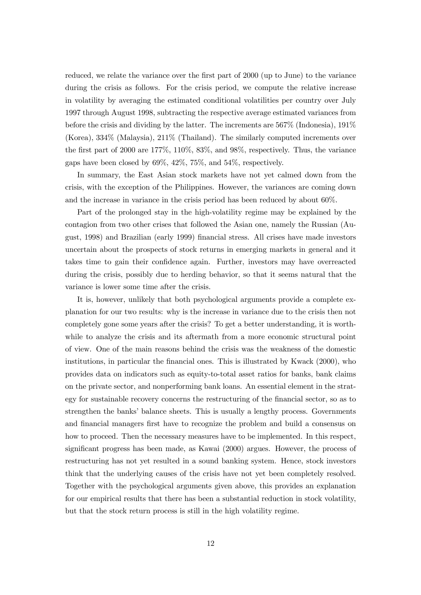reduced, we relate the variance over the first part of 2000 (up to June) to the variance during the crisis as follows. For the crisis period, we compute the relative increase in volatility by averaging the estimated conditional volatilities per country over July 1997 through August 1998, subtracting the respective average estimated variances from before the crisis and dividing by the latter. The increments are 567% (Indonesia), 191% (Korea), 334% (Malaysia), 211% (Thailand). The similarly computed increments over the first part of 2000 are 177%, 110%, 83%, and 98%, respectively. Thus, the variance gaps have been closed by 69%, 42%, 75%, and 54%, respectively.

In summary, the East Asian stock markets have not yet calmed down from the crisis, with the exception of the Philippines. However, the variances are coming down and the increase in variance in the crisis period has been reduced by about 60%.

Part of the prolonged stay in the high-volatility regime may be explained by the contagion from two other crises that followed the Asian one, namely the Russian (August, 1998) and Brazilian (early 1999) financial stress. All crises have made investors uncertain about the prospects of stock returns in emerging markets in general and it takes time to gain their confidence again. Further, investors may have overreacted during the crisis, possibly due to herding behavior, so that it seems natural that the variance is lower some time after the crisis.

It is, however, unlikely that both psychological arguments provide a complete explanation for our two results: why is the increase in variance due to the crisis then not completely gone some years after the crisis? To get a better understanding, it is worthwhile to analyze the crisis and its aftermath from a more economic structural point of view. One of the main reasons behind the crisis was the weakness of the domestic institutions, in particular the financial ones. This is illustrated by Kwack (2000), who provides data on indicators such as equity-to-total asset ratios for banks, bank claims on the private sector, and nonperforming bank loans. An essential element in the strategy for sustainable recovery concerns the restructuring of the financial sector, so as to strengthen the banks' balance sheets. This is usually a lengthy process. Governments and financial managers first have to recognize the problem and build a consensus on how to proceed. Then the necessary measures have to be implemented. In this respect, significant progress has been made, as Kawai (2000) argues. However, the process of restructuring has not yet resulted in a sound banking system. Hence, stock investors think that the underlying causes of the crisis have not yet been completely resolved. Together with the psychological arguments given above, this provides an explanation for our empirical results that there has been a substantial reduction in stock volatility, but that the stock return process is still in the high volatility regime.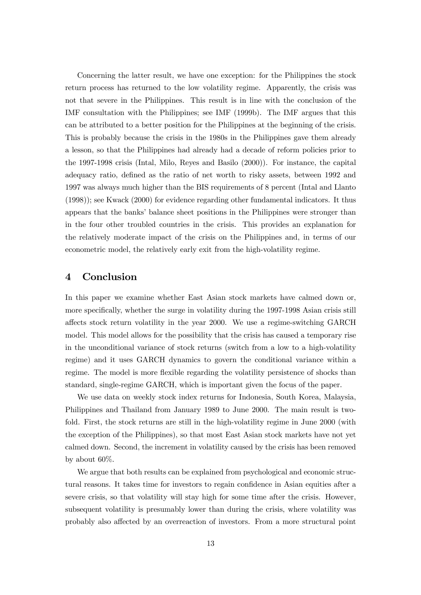Concerning the latter result, we have one exception: for the Philippines the stock return process has returned to the low volatility regime. Apparently, the crisis was not that severe in the Philippines. This result is in line with the conclusion of the IMF consultation with the Philippines; see IMF (1999b). The IMF argues that this can be attributed to a better position for the Philippines at the beginning of the crisis. This is probably because the crisis in the 1980s in the Philippines gave them already a lesson, so that the Philippines had already had a decade of reform policies prior to the 1997-1998 crisis (Intal, Milo, Reyes and Basilo (2000)). For instance, the capital adequacy ratio, defined as the ratio of net worth to risky assets, between 1992 and 1997 was always much higher than the BIS requirements of 8 percent (Intal and Llanto (1998)); see Kwack (2000) for evidence regarding other fundamental indicators. It thus appears that the banks' balance sheet positions in the Philippines were stronger than in the four other troubled countries in the crisis. This provides an explanation for the relatively moderate impact of the crisis on the Philippines and, in terms of our econometric model, the relatively early exit from the high-volatility regime.

# 4 Conclusion

In this paper we examine whether East Asian stock markets have calmed down or, more specifically, whether the surge in volatility during the 1997-1998 Asian crisis still affects stock return volatility in the year 2000. We use a regime-switching GARCH model. This model allows for the possibility that the crisis has caused a temporary rise in the unconditional variance of stock returns (switch from a low to a high-volatility regime) and it uses GARCH dynamics to govern the conditional variance within a regime. The model is more flexible regarding the volatility persistence of shocks than standard, single-regime GARCH, which is important given the focus of the paper.

We use data on weekly stock index returns for Indonesia, South Korea, Malaysia, Philippines and Thailand from January 1989 to June 2000. The main result is twofold. First, the stock returns are still in the high-volatility regime in June 2000 (with the exception of the Philippines), so that most East Asian stock markets have not yet calmed down. Second, the increment in volatility caused by the crisis has been removed by about 60%.

We argue that both results can be explained from psychological and economic structural reasons. It takes time for investors to regain confidence in Asian equities after a severe crisis, so that volatility will stay high for some time after the crisis. However, subsequent volatility is presumably lower than during the crisis, where volatility was probably also affected by an overreaction of investors. From a more structural point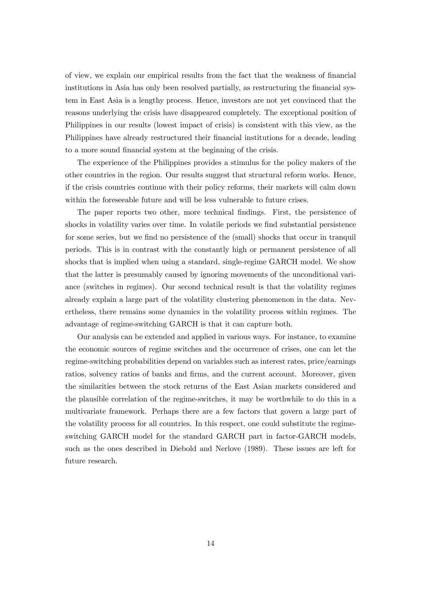of view, we explain our empirical results from the fact that the weakness of financial institutions in Asia has only been resolved partially, as restructuring the financial system in East Asia is a lengthy process. Hence, investors are not yet convinced that the reasons underlying the crisis have disappeared completely. The exceptional position of Philippines in our results (lowest impact of crisis) is consistent with this view, as the Philippines have already restructured their financial institutions for a decade, leading to a more sound financial system at the beginning of the crisis.

The experience of the Philippines provides a stimulus for the policy makers of the other countries in the region. Our results suggest that structural reform works. Hence, if the crisis countries continue with their policy reforms, their markets will calm down within the foreseeable future and will be less vulnerable to future crises.

The paper reports two other, more technical findings. First, the persistence of shocks in volatility varies over time. In volatile periods we find substantial persistence for some series, but we find no persistence of the (small) shocks that occur in tranquil periods. This is in contrast with the constantly high or permanent persistence of all shocks that is implied when using a standard, single-regime GARCH model. We show that the latter is presumably caused by ignoring movements of the unconditional variance (switches in regimes). Our second technical result is that the volatility regimes already explain a large part of the volatility clustering phenomenon in the data. Nevertheless, there remains some dynamics in the volatility process within regimes. The advantage of regime-switching GARCH is that it can capture both.

Our analysis can be extended and applied in various ways. For instance, to examine the economic sources of regime switches and the occurrence of crises, one can let the regime-switching probabilities depend on variables such as interest rates, price/earnings ratios, solvency ratios of banks and firms, and the current account. Moreover, given the similarities between the stock returns of the East Asian markets considered and the plausible correlation of the regime-switches, it may be worthwhile to do this in a multivariate framework. Perhaps there are a few factors that govern a large part of the volatility process for all countries. In this respect, one could substitute the regimeswitching GARCH model for the standard GARCH part in factor-GARCH models, such as the ones described in Diebold and Nerlove (1989). These issues are left for future research.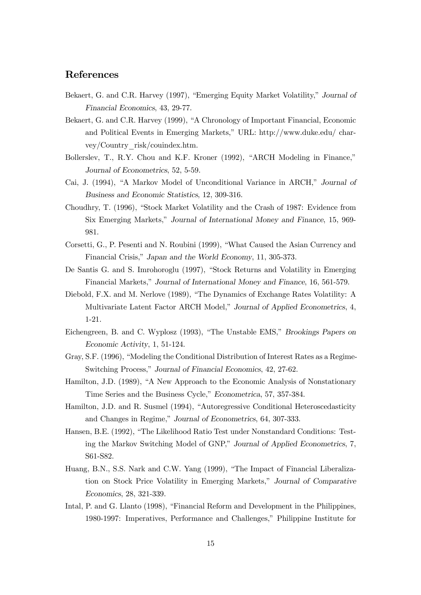# References

- Bekaert, G. and C.R. Harvey (1997), "Emerging Equity Market Volatility," Journal of Financial Economics, 43, 29-77.
- Bekaert, G. and C.R. Harvey (1999), "A Chronology of Important Financial, Economic and Political Events in Emerging Markets," URL: http://www.duke.edu/ charvey/Country\_risk/couindex.htm.
- Bollerslev, T., R.Y. Chou and K.F. Kroner (1992), "ARCH Modeling in Finance," Journal of Econometrics, 52, 5-59.
- Cai, J. (1994), "A Markov Model of Unconditional Variance in ARCH," Journal of Business and Economic Statistics, 12, 309-316.
- Choudhry, T. (1996), "Stock Market Volatility and the Crash of 1987: Evidence from Six Emerging Markets," Journal of International Money and Finance, 15, 969- 981.
- Corsetti, G., P. Pesenti and N. Roubini (1999), "What Caused the Asian Currency and Financial Crisis," Japan and the World Economy, 11, 305-373.
- De Santis G. and S. Imrohoroglu (1997), "Stock Returns and Volatility in Emerging Financial Markets," Journal of International Money and Finance, 16, 561-579.
- Diebold, F.X. and M. Nerlove (1989), "The Dynamics of Exchange Rates Volatility: A Multivariate Latent Factor ARCH Model," Journal of Applied Econometrics, 4, 1-21.
- Eichengreen, B. and C. Wyplosz (1993), "The Unstable EMS," Brookings Papers on Economic Activity, 1, 51-124.
- Gray, S.F. (1996), "Modeling the Conditional Distribution of Interest Rates as a Regime-Switching Process," Journal of Financial Economics, 42, 27-62.
- Hamilton, J.D. (1989), "A New Approach to the Economic Analysis of Nonstationary Time Series and the Business Cycle," Econometrica, 57, 357-384.
- Hamilton, J.D. and R. Susmel (1994), "Autoregressive Conditional Heteroscedasticity and Changes in Regime," Journal of Econometrics, 64, 307-333.
- Hansen, B.E. (1992), "The Likelihood Ratio Test under Nonstandard Conditions: Testing the Markov Switching Model of GNP," Journal of Applied Econometrics, 7, S61-S82.
- Huang, B.N., S.S. Nark and C.W. Yang (1999), "The Impact of Financial Liberalization on Stock Price Volatility in Emerging Markets," Journal of Comparative Economics, 28, 321-339.
- Intal, P. and G. Llanto (1998), "Financial Reform and Development in the Philippines, 1980-1997: Imperatives, Performance and Challenges," Philippine Institute for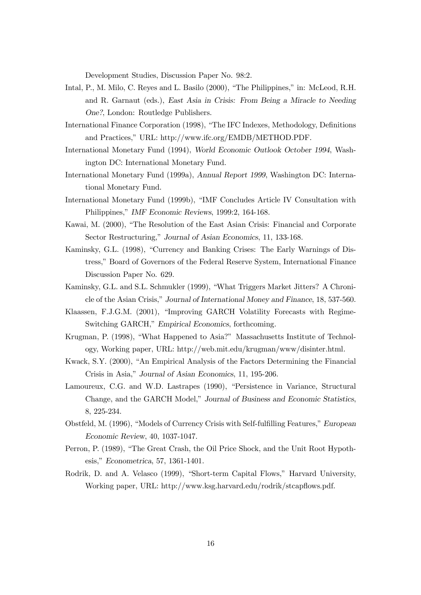Development Studies, Discussion Paper No. 98:2.

- Intal, P., M. Milo, C. Reyes and L. Basilo (2000), "The Philippines," in: McLeod, R.H. and R. Garnaut (eds.), East Asia in Crisis: From Being a Miracle to Needing One?, London: Routledge Publishers.
- International Finance Corporation (1998), "The IFC Indexes, Methodology, Definitions and Practices," URL: http://www.ifc.org/EMDB/METHOD.PDF.
- International Monetary Fund (1994), World Economic Outlook October 1994, Washington DC: International Monetary Fund.
- International Monetary Fund (1999a), Annual Report 1999, Washington DC: International Monetary Fund.
- International Monetary Fund (1999b), "IMF Concludes Article IV Consultation with Philippines," IMF Economic Reviews, 1999:2, 164-168.
- Kawai, M. (2000), "The Resolution of the East Asian Crisis: Financial and Corporate Sector Restructuring," Journal of Asian Economics, 11, 133-168.
- Kaminsky, G.L. (1998), "Currency and Banking Crises: The Early Warnings of Distress," Board of Governors of the Federal Reserve System, International Finance Discussion Paper No. 629.
- Kaminsky, G.L. and S.L. Schmukler (1999), "What Triggers Market Jitters? A Chronicle of the Asian Crisis," Journal of International Money and Finance, 18, 537-560.
- Klaassen, F.J.G.M. (2001), "Improving GARCH Volatility Forecasts with Regime-Switching GARCH," Empirical Economics, forthcoming.
- Krugman, P. (1998), "What Happened to Asia?" Massachusetts Institute of Technology, Working paper, URL: http://web.mit.edu/krugman/www/disinter.html.
- Kwack, S.Y. (2000), "An Empirical Analysis of the Factors Determining the Financial Crisis in Asia," Journal of Asian Economics, 11, 195-206.
- Lamoureux, C.G. and W.D. Lastrapes (1990), "Persistence in Variance, Structural Change, and the GARCH Model," Journal of Business and Economic Statistics, 8, 225-234.
- Obstfeld, M. (1996), "Models of Currency Crisis with Self-fulfilling Features," European Economic Review, 40, 1037-1047.
- Perron, P. (1989), "The Great Crash, the Oil Price Shock, and the Unit Root Hypothesis," Econometrica, 57, 1361-1401.
- Rodrik, D. and A. Velasco (1999), "Short-term Capital Flows," Harvard University, Working paper, URL: http://www.ksg.harvard.edu/rodrik/stcapflows.pdf.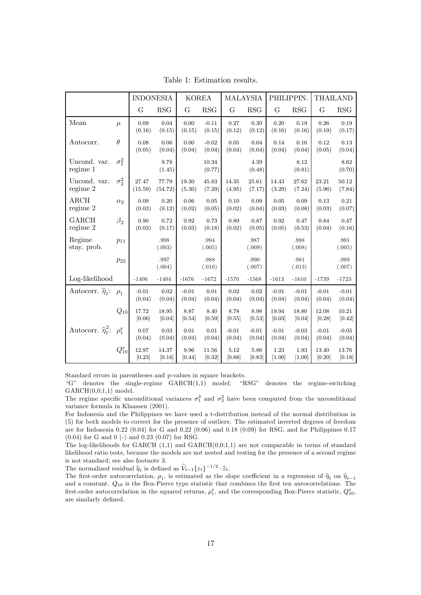|                              |              | <b>INDONESIA</b>  |                  | <b>KOREA</b>      |                   | <b>MALAYSIA</b>   |                   | PHILIPPIN.        |                   | <b>THAILAND</b>   |                     |
|------------------------------|--------------|-------------------|------------------|-------------------|-------------------|-------------------|-------------------|-------------------|-------------------|-------------------|---------------------|
|                              |              | G                 | RSG              | G                 | RSG               | G                 | RSG               | G                 | <b>RSG</b>        | G                 | RSG                 |
| Mean                         | $\mu$        | 0.09<br>(0.16)    | 0.04<br>(0.15)   | 0.00<br>(0.15)    | $-0.11$<br>(0.15) | 0.27<br>(0.12)    | 0.30<br>(0.12)    | 0.20<br>(0.16)    | 0.19<br>(0.16)    | 0.26<br>(0.19)    | 0.19<br>(0.17)      |
| Autocorr.                    | $\theta$     | 0.08<br>(0.05)    | 0.06<br>(0.04)   | 0.00<br>(0.04)    | $-0.02$<br>(0.04) | 0.05<br>(0.04)    | 0.04<br>(0.04)    | 0.14<br>(0.04)    | 0.16<br>(0.04)    | 0.12<br>(0.05)    | 0.13<br>(0.04)      |
| Uncond. var.<br>regime 1     | $\sigma_1^2$ |                   | 9.78<br>(1.45)   |                   | 10.34<br>(0.77)   |                   | 4.39<br>(0.48)    |                   | 8.12<br>(0.81)    |                   | 8.62<br>(0.70)      |
| Uncond. var.<br>regime 2     | $\sigma_2^2$ | 27.47<br>(15.59)  | 77.79<br>(54.72) | 19.30<br>(5.30)   | 45.83<br>(7.29)   | 14.35<br>(4.95)   | 25.61<br>(7.17)   | 14.43<br>(3.29)   | 27.62<br>(7.24)   | 23.21<br>(5.96)   | 50.12<br>(7.84)     |
| ARCH<br>regime 2             | $\alpha_2$   | 0.09<br>(0.03)    | 0.20<br>(0.12)   | 0.06<br>(0.02)    | 0.05<br>(0.05)    | 0.10<br>(0.02)    | 0.09<br>(0.04)    | 0.05<br>(0.03)    | 0.09<br>(0.08)    | 0.13<br>(0.03)    | 0.21<br>(0.07)      |
| <b>GARCH</b><br>regime 2     | $\beta_2$    | 0.90<br>(0.03)    | 0.72<br>(0.17)   | 0.92<br>(0.03)    | 0.73<br>(0.18)    | 0.89<br>(0.02)    | 0.87<br>(0.05)    | 0.92<br>(0.05)    | 0.47<br>(0.53)    | 0.84<br>(0.04)    | 0.47<br>(0.16)      |
| Regime<br>stay. prob.        | $p_{11}$     |                   | .998<br>(.003)   |                   | .994<br>(.005)    |                   | .987<br>(.009)    |                   | .988<br>(.008)    |                   | .991<br>(.005)      |
|                              | $p_{22}$     |                   | .997<br>(.004)   |                   | .988<br>(.010)    |                   | .990<br>(.007)    |                   | .981<br>(.013)    |                   | $.989\,$<br>(.007)  |
| Log-likelihood               |              | $-1406$           | $-1404$          | $-1676$           | $-1672$           | $-1570$           | $-1568$           | $-1613$           | $-1610$           | $-1739$           | $-1723$             |
| Autocorr. $\hat{\eta}_t$ :   | $\rho_1$     | $-0.01$<br>(0.04) | 0.02<br>(0.04)   | $-0.01$<br>(0.04) | 0.01<br>(0.04)    | 0.02<br>(0.04)    | 0.02<br>(0.04)    | $-0.01$<br>(0.04) | $-0.01$<br>(0.04) | $-0.01$<br>(0.04) | $-0.01$<br>(0.04)   |
|                              | $Q_{10}$     | 17.72<br>[0.06]   | 18.95<br>[0.04]  | 8.87<br>[0.54]    | 8.40<br>[0.59]    | 8.78<br>[0.55]    | 8.98<br>[0.53]    | 19.94<br>[0.03]   | 18.80<br>[0.04]   | 12.08<br>[0.28]   | $10.21\,$<br>[0.42] |
| Autocorr. $\hat{\eta}_t^2$ : | $\rho_1^s$   | 0.07<br>(0.04)    | 0.03<br>(0.04)   | 0.01<br>(0.04)    | 0.01<br>(0.04)    | $-0.01$<br>(0.04) | $-0.01$<br>(0.04) | $-0.01$<br>(0.04) | $-0.03$<br>(0.04) | $-0.01$<br>(0.04) | $-0.05$<br>(0.04)   |
|                              | $Q_{10}^s$   | 12.97<br>[0.23]   | 14.37<br>[0.16]  | 9.96<br>[0.44]    | 11.56<br>[0.32]   | 5.12<br>[0.88]    | 5.86<br>[0.83]    | 1.23<br>$[1.00]$  | 1.93<br>$[1.00]$  | 13.40<br>[0.20]   | 13.76<br>[0.18]     |

Table 1: Estimation results.

Standard errors in parentheses and p-values in square brackets.

"G" denotes the single-regime GARCH(1,1) model; "RSG" denotes the regime-switching  $GARCH(0,0;1,1) \text{ model.}$ 

The regime specific unconditional variances  $\sigma_1^2$  and  $\sigma_2^2$  have been computed from the unconditional variance formula in Klaassen (2001).

For Indonesia and the Philippines we have used a t-distribution instead of the normal distribution in (5) for both models to correct for the presence of outliers. The estimated inverted degrees of freedom are for Indonesia 0.22 (0.04) for G and 0.22 (0.06) and 0.18 (0.09) for RSG, and for Philippines 0.17 (0.04) for G and 0 (-) and 0.23 (0.07) for RSG.

The log-likelihoods for GARCH  $(1,1)$  and GARCH $(0,0;1,1)$  are not comparable in terms of standard likelihood ratio tests, because the models are not nested and testing for the presence of a second regime is not standard; see also footnote 3.

The normalized residual  $\widehat{\eta}_t$  is defined as  $\widehat{V}_{t-1}\{\varepsilon_t\}^{-1/2} \cdot \widehat{\varepsilon}_t$ .

The first-order autocorrelation,  $\rho_1$ , is estimated as the slope coefficient in a regression of  $\hat{\eta}_t$  on  $\hat{\eta}_{t-1}$ and a constant.  $Q_{10}$  is the Box-Pierce type statistic that combines the first ten autocorrelations. The first-order autocorrelation in the squared returns,  $\rho_1^s$ , and the corresponding Box-Pierce statistic,  $Q_{10}^s$ , are similarly defined.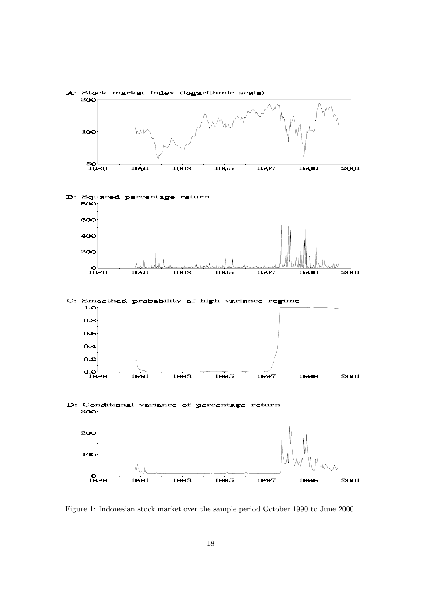

Figure 1: Indonesian stock market over the sample period October 1990 to June 2000.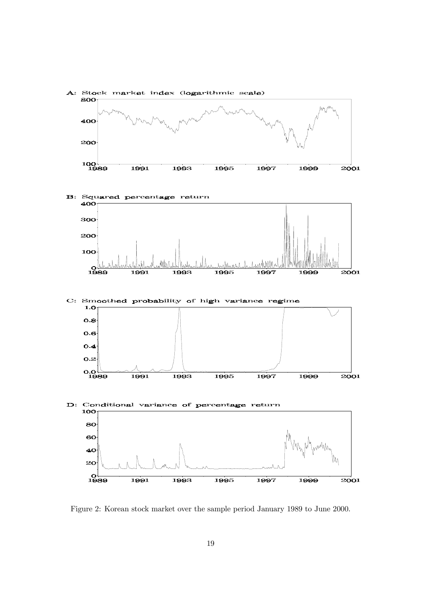

Figure 2: Korean stock market over the sample period January 1989 to June 2000.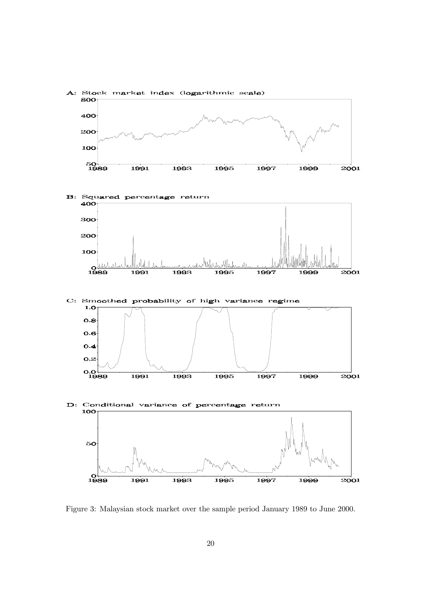

Figure 3: Malaysian stock market over the sample period January 1989 to June 2000.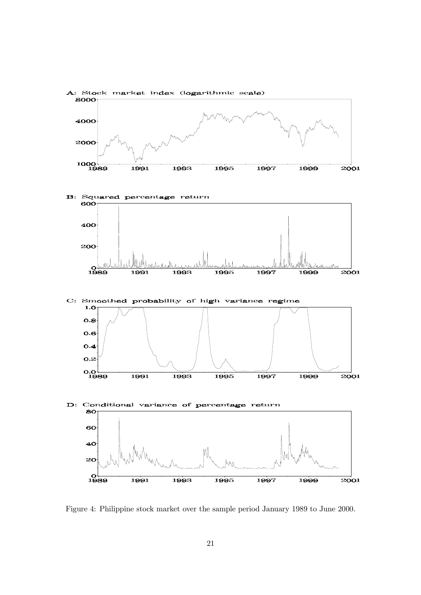

Figure 4: Philippine stock market over the sample period January 1989 to June 2000.